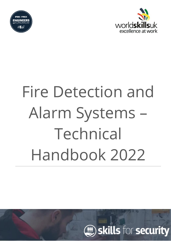



# Fire Detection and Alarm Systems – Technical Handbook 2022

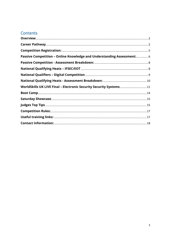## Contents

| Passive Competition - Online Knowledge and Understanding Assessment: 6 |  |
|------------------------------------------------------------------------|--|
|                                                                        |  |
|                                                                        |  |
|                                                                        |  |
|                                                                        |  |
| WorldSkills UK LIVE Final - Electronic Security Security Systems 11    |  |
|                                                                        |  |
|                                                                        |  |
|                                                                        |  |
|                                                                        |  |
|                                                                        |  |
|                                                                        |  |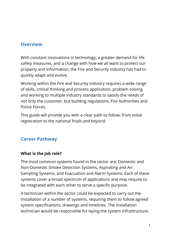## <span id="page-2-0"></span>**Overview**

With constant innovations in technology, a greater demand for life safety measures, and a change with how we all want to protect our property and information, the Fire and Security industry has had to quickly adapt and evolve.

Working within the Fire and Security industry requires a wide range of skills, critical thinking and process application, problem solving and working to multiple industry standards to satisfy the needs of not only the customer, but building regulations, Fire Authorities and Police Forces.

This guide will provide you with a clear path to follow, from initial registration to the national finals and beyond.

## <span id="page-2-1"></span>**Career Pathway**

## **What is the job role?**

The most common systems found in the sector are; Domestic and Non-Domestic Smoke Detection Systems, Aspirating and Air Sampling Systems, and Evacuation and Alarm Systems. Each of these systems cover a broad spectrum of applications and may require to be integrated with each other to serve a specific purpose.

A technician within the sector could be expected to carry out the Installation of a number of systems, requiring them to follow agreed system specifications, drawings and timelines. The Installation technician would be responsible for laying the system infrastructure,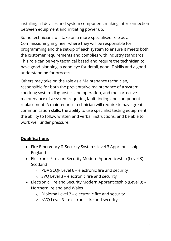installing all devices and system component, making interconnection between equipment and initiating power up.

Some technicians will take on a more specialised role as a Commissioning Engineer where they will be responsible for programming and the set-up of each system to ensure it meets both the customer requirements and complies with industry standards. This role can be very technical based and require the technician to have good planning, a good eye for detail, good IT skills and a good understanding for process.

Others may take on the role as a Maintenance technician, responsible for both the preventative maintenance of a system checking system diagnostics and operation, and the corrective maintenance of a system requiring fault finding and component replacement. A maintenance technician will require to have great communication skills, the ability to use specialist testing equipment, the ability to follow written and verbal instructions, and be able to work well under pressure.

## **Qualifications**

- Fire Emergency & Security Systems level 3 Apprenticeship England
- Electronic Fire and Security Modern Apprenticeship (Level 3) Scotland
	- o PDA SCQF Level 6 electronic fire and security
	- $\circ$  SVQ Level 3 electronic fire and security
- Electronic Fire and Security Modern Apprenticeship (Level 3) Northern Ireland and Wales
	- $\circ$  Diploma Level 3 electronic fire and security
	- o NVQ Level 3 electronic fire and security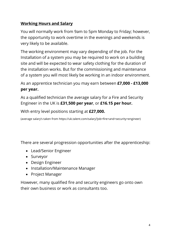## **Working Hours and Salary**

You will normally work from 9am to 5pm Monday to Friday; however, the opportunity to work overtime in the evenings and weekends is very likely to be available.

The working environment may vary depending of the job. For the Installation of a system you may be required to work on a building site and will be expected to wear safety clothing for the duration of the installation works. But for the commissioning and maintenance of a system you will most likely be working in an indoor environment.

As an apprentice technician you may earn between **£7,000 - £13,000 per year.**

As a qualified technician the average salary for a Fire and Security Engineer in the UK is **£31,500 per year**, or **£16.15 per hour.**

With entry level positions starting at **£27,000.**

(average salary's taken from https://uk.talent.com/salary?job=fire+and+security+engineer)

There are several progression opportunities after the apprenticeship:

- Lead/Senior Engineer
- Surveyor
- Design Engineer
- Installation/Maintenance Manager
- Project Manager

However, many qualified fire and security engineers go onto own their own business or work as consultants too.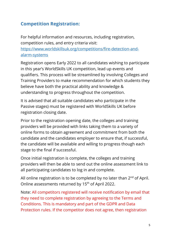# <span id="page-5-0"></span>**Competition Registration:**

For helpful information and resources, including registration, competition rules, and entry criteria visit:

[https://www.worldskillsuk.org/competitions/fire-detection-and](https://www.worldskillsuk.org/competitions/fire-detection-and-alarm-systems)[alarm-systems](https://www.worldskillsuk.org/competitions/fire-detection-and-alarm-systems)

Registration opens Early 2022 to all candidates wishing to participate in this year's WorldSkills UK competition, lead up events and qualifiers. This process will be streamlined by involving Colleges and Training Providers to make recommendation for which students they believe have both the practical ability and knowledge & understanding to progress throughout the competition.

It is advised that all suitable candidates who participate in the Passive stages) must be registered with WorldSkills UK before registration closing date.

Prior to the registration opening date, the colleges and training providers will be provided with links taking them to a variety of online forms to obtain agreement and commitment from both the candidate and the candidates employer to ensure that, if successful, the candidate will be available and willing to progress though each stage to the final if successful.

Once initial registration is complete, the colleges and training providers will then be able to send out the online assessment link to all participating candidates to log in and complete.

All online registration is to be completed by no later than  $2^{nd}$  of April. Online assessments returned by 15<sup>th</sup> of April 2022.

Note: All competitors registered will receive notification by email that they need to complete registration by agreeing to the Terms and Conditions. This is mandatory and part of the GDPR and Data Protection rules. If the competitor does not agree, then registration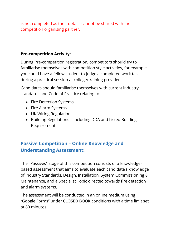is not completed as their details cannot be shared with the competition organising partner.

## **Pre-competition Activity:**

During Pre-competition registration, competitors should try to familiarise themselves with competition style activities, for example you could have a fellow student to judge a completed work task during a practical session at college/training provider.

Candidates should familiarise themselves with current industry standards and Code of Practice relating to:

- Fire Detection Systems
- Fire Alarm Systems
- UK Wiring Regulation
- Building Regulations Including DDA and Listed Building Requirements

# <span id="page-6-0"></span>**Passive Competition – Online Knowledge and Understanding Assessment:**

The "Passives" stage of this competition consists of a knowledgebased assessment that aims to evaluate each candidate's knowledge of Industry Standards, Design, Installation, System Commissioning & Maintenance, and a Specialist Topic directed towards fire detection and alarm systems.

The assessment will be conducted in an online medium using "Google Forms" under CLOSED BOOK conditions with a time limit set at 60 minutes.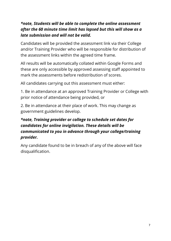## *\*note, Students will be able to complete the online assessment after the 60 minute time limit has lapsed but this will show as a late submission and will not be valid.*

Candidates will be provided the assessment link via their College and/or Training Provider who will be responsible for distribution of the assessment links within the agreed time frame.

All results will be automatically collated within Google Forms and these are only accessible by approved assessing staff appointed to mark the assessments before redistribution of scores.

All candidates carrying out this assessment must either:

1. Be in attendance at an approved Training Provider or College with prior notice of attendance being provided, or

2. Be in attendance at their place of work. This may change as government guidelines develop.

# *\*note, Training provider or college to schedule set dates for candidates for online invigilation. These details will be communicated to you in advance through your college/training provider.*

Any candidate found to be in breach of any of the above will face disqualification.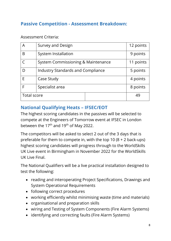# <span id="page-8-0"></span>**Passive Competition - Assessment Breakdown:**

#### Assessment Criteria:

| A           | <b>Survey and Design</b>                 |    | 12 points |
|-------------|------------------------------------------|----|-----------|
| B           | System Installation                      |    | 9 points  |
|             | System Commissioning & Maintenance       |    | 11 points |
| D           | <b>Industry Standards and Compliance</b> |    | 5 points  |
| F           | Case Study                               |    | 4 points  |
| F           | Specialist area                          |    | 8 points  |
| Total score |                                          | 49 |           |

## <span id="page-8-1"></span>**National Qualifying Heats – IFSEC/EOT**

The highest scoring candidates in the passives will be selected to compete at the Engineers of Tomorrow event at IFSEC in London between the 17<sup>th</sup> and 19<sup>th</sup> of May 2022.

The competitors will be asked to select 2 out of the 3 days that is preferable for them to compete in, with the top 10 (8 + 2 back-ups) highest scoring candidates will progress through to the WorldSkills UK Live event in Birmingham in November 2022 for the WorldSkills UK Live Final.

The National Qualifiers will be a live practical installation designed to test the following:

- reading and interoperating Project Specifications, Drawings and System Operational Requirements
- following correct procedures
- working efficiently whilst minimising waste (time and materials)
- organisational and preparation skills
- wiring and Testing of System Components (Fire Alarm Systems)
- identifying and correcting faults (Fire Alarm Systems)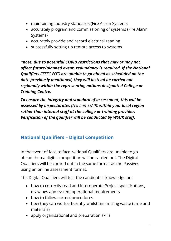- maintaining Industry standards (Fire Alarm Systems
- accurately program and commissioning of systems (Fire Alarm Systems)
- accurately provide and record electrical reading
- successfully setting up remote access to systems

*\*note, due to potential COVID restrictions that may or may not affect future/planned event, redundancy is required. If the National Qualifiers (IFSEC EOT) are unable to go ahead as scheduled on the date previously mentioned, they will instead be carried out regionally within the representing nations designated College or Training Centre.*

*To ensure the integrity and standard of assessment, this will be assessed by inspectorates (NSI and SSAIB) within your local region rather than internal staff at the college or training provider. Verification of the qualifier will be conducted by WSUK staff.*

## <span id="page-9-0"></span>**National Qualifiers – Digital Competition**

In the event of face to face National Qualifiers are unable to go ahead then a digital competition will be carried out. The Digital Qualifiers will be carried out in the same format as the Passives using an online assessment format.

The Digital Qualifiers will test the candidates' knowledge on:

- how to correctly read and interoperate Project specifications, drawings and system operational requirements
- how to follow correct procedures
- how they can work efficiently whilst minimising waste (time and materials)
- apply organisational and preparation skills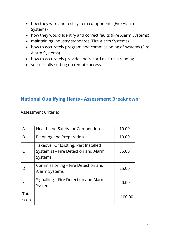- how they wire and test system components (Fire Alarm Systems)
- how they would Identify and correct faults (Fire Alarm Systems)
- maintaining industry standards (Fire Alarm Systems)
- how to accurately program and commissioning of systems (Fire Alarm Systems)
- how to accurately provide and record electrical reading
- successfully setting up remote access

## <span id="page-10-0"></span>**National Qualifying Heats - Assessment Breakdown:**

Assessment Criteria:

| A              | Health and Safety for Competition                                                       | 10.00  |
|----------------|-----------------------------------------------------------------------------------------|--------|
| B              | Planning and Preparation                                                                | 10.00  |
|                | Takeover Of Existing, Part Installed<br>System(s) – Fire Detection and Alarm<br>Systems | 35.00  |
| I)             | Commissioning – Fire Detection and<br>Alarm Systems                                     | 25.00  |
| F              | Signalling – Fire Detection and Alarm<br>Systems                                        | 20.00  |
| Total<br>score |                                                                                         | 100.00 |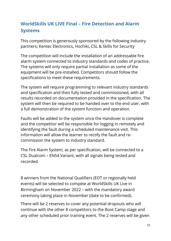# <span id="page-11-0"></span>**WorldSkills UK LIVE Final – Fire Detection and Alarm Systems**

This competition is generously sponsored by the following industry partners; Kentec Electronics, Hochiki, CSL & Skills for Security

The competition will include the installation of an addressable fire alarm system connected to industry standards and codes of practice. The systems will only require partial installation as some of the equipment will be pre-installed. Competitors should follow the specifications to meet these requirements.

The system will require programming to relevant industry standards and specification and then fully tested and commissioned, with all results recorded on documentation provided in the specification. The system will then be required to be handed over to the end user, with a full demonstration of the system function and operation.

Faults will be added to the system once the Handover is complete and the competitor will be responsible for logging in remotely and identifying the fault during a scheduled maintenance visit. This information will allow the learner to rectify the fault and recommission the system to industry standard.

The Fire Alarm System, as per specification, will be connected to a CSL Dualcom – EN54 Variant, with all signals being tested and recorded.

8 winners from the National Qualifiers (EOT or regionally held events) will be selected to compete at WorldSkills UK Live in Birmingham on November 2022 – with the mandatory award ceremony taking place in November (date to be confirmed).

There will be 2 reserves to cover any potential dropouts who will continue with the other 8 competitors to the Boot Camp stage and any other scheduled prior training event. The 2 reserves will be given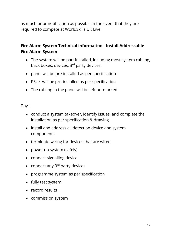as much prior notification as possible in the event that they are required to compete at WorldSkills UK Live.

## **Fire Alarm System Technical information - Install Addressable Fire Alarm System**

- The system will be part installed, including most system cabling, back boxes, devices, 3<sup>rd</sup> party devices.
- panel will be pre-installed as per specification
- PSU's will be pre-installed as per specification
- The cabling in the panel will be left un-marked

#### Day 1

- conduct a system takeover, identify issues, and complete the installation as per specification & drawing
- install and address all detection device and system components
- terminate wiring for devices that are wired
- power up system (safely)
- connect signalling device
- connect any  $3^{rd}$  party devices
- programme system as per specification
- fully test system
- record results
- commission system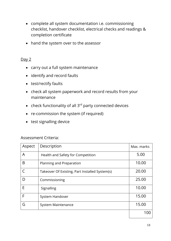- complete all system documentation i.e. commissioning checklist, handover checklist, electrical checks and readings & completion certificate
- hand the system over to the assessor

### Day 2

- carry out a full system maintenance
- identify and record faults
- test/rectify faults
- check all system paperwork and record results from your maintenance
- check functionality of all 3<sup>rd</sup> party connected devices
- re-commission the system (if required)
- test signalling device

#### Assessment Criteria:

| Aspect | Description                                    | Max. marks |
|--------|------------------------------------------------|------------|
| A      | Health and Safety for Competition              | 5.00       |
| B      | Planning and Preparation                       | 10.00      |
|        | Takeover Of Existing, Part Installed System(s) | 20.00      |
| D      | Commissioning                                  | 25.00      |
| E      | Signalling                                     | 10.00      |
| F      | System Handover                                | 15.00      |
| G      | System Maintenance                             | 15.00      |
|        |                                                |            |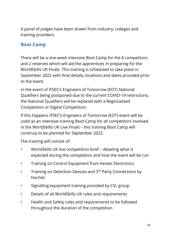A panel of judges have been drawn from industry, colleges and training providers.

## <span id="page-14-0"></span>**Boot Camp**

There will be a one-week intensive Boot Camp for the 8 competitors and 2 reserves which will aid the apprentices in preparing for the WorldSkills UK Finals. This training is scheduled to take place in September 2022 with final details, locations and dates provided prior to the event.

In the event of IFSEC's Engineers of Tomorrow (EOT) National Qualifiers being postponed due to the current COVID-19 restrictions, the National Qualifiers will be replaced with a Regionalised Competition or Digital Competition.

If this happens IFSEC's Engineers of Tomorrow (EOT) event will be used as an intensive training Boot Camp for all competitors involved in the WorldSkills UK Live Finals – this training Boot Camp will continue to be planned for September 2022.

The training will consist of:

- WorldSkills UK live competition brief detailing what is expected during the competition and how the event will be run
- Training on Control Equipment from Kentec Electronics
- Training on Detection Devices and 3<sup>rd</sup> Party Connections by Hochiki
- Signalling equipment training provided by CSL group
- Details of all WorldSkills UK rules and requirements
- Health and Safety rules and requirements to be followed throughout the duration of the competition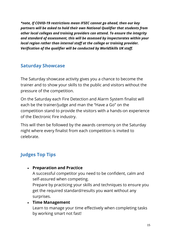*\*note, If COVID-19 restrictions mean IFSEC cannot go ahead, then our key partners will be asked to hold their own National Qualifier that students from other local colleges and training providers can attend. To ensure the integrity and standard of assessment, this will be assessed by inspectorates within your local region rather than internal staff at the college or training provider. Verification of the qualifier will be conducted by WorldSkills UK staff.*

# <span id="page-15-0"></span>**Saturday Showcase**

The Saturday showcase activity gives you a chance to become the trainer and to show your skills to the public and visitors without the pressure of the competition.

On the Saturday each Fire Detection and Alarm System finalist will each be the trainer/judge and man the "Have a Go" on the competition stand to provide the visitors with a hands-on experience of the Electronic Fire industry.

This will then be followed by the awards ceremony on the Saturday night where every finalist from each competition is invited to celebrate.

# <span id="page-15-1"></span>**Judges Top Tips**

## • **Preparation and Practice**

A successful competitor you need to be confident, calm and self-assured when competing.

Prepare by practicing your skills and techniques to ensure you get the required standard/results you want without any surprises.

## • **Time Management**

Learn to manage your time effectively when completing tasks by working smart not fast!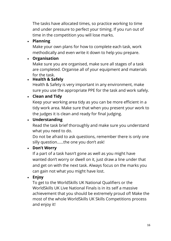The tasks have allocated times, so practice working to time and under pressure to perfect your timing. If you run out of time in the competition you will lose marks.

## • **Planning**

Make your own plans for how to complete each task, work methodically and even write it down to help you prepare.

# • **Organisation**

Make sure you are organised, make sure all stages of a task are completed. Organise all of your equipment and materials for the task.

## • **Health & Safely**

Health & Safety is very important in any environment, make sure you use the appropriate PPE for the task and work safely.

# • **Clean and Tidy**

Keep your working area tidy as you can be more efficient in a tidy work area. Make sure that when you present your work to the judges it is clean and ready for final judging.

# • **Understanding**

Read the task brief thoroughly and make sure you understand what you need to do.

Do not be afraid to ask questions, remember there is only one silly question……the one you don't ask!

## • **Don't Worry**

If a part of a task hasn't gone as well as you might have wanted don't worry or dwell on it, just draw a line under that and get on with the next task. Always focus on the marks you can gain not what you might have lost.

# • **Enjoy**

To get to the WorldSkills UK National Qualifiers or the WorldSkills UK Live National Finals is in its self a massive achievement that you should be extremely proud of! Make the most of the whole WorldSkills UK Skills Competitions process and enjoy it!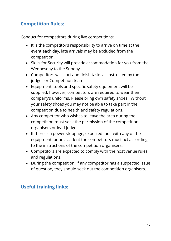# <span id="page-17-0"></span>**Competition Rules:**

Conduct for competitors during live competitions:

- It is the competitor's responsibility to arrive on time at the event each day, late arrivals may be excluded from the competition.
- Skills for Security will provide accommodation for you from the Wednesday to the Sunday.
- Competitors will start and finish tasks as instructed by the judges or Competition team.
- Equipment, tools and specific safety equipment will be supplied; however, competitors are required to wear their company's uniforms. Please bring own safety shoes. (Without your safety shoes you may not be able to take part in the competition due to health and safety regulations).
- Any competitor who wishes to leave the area during the competition must seek the permission of the competition organisers or lead judge.
- If there is a power stoppage, expected fault with any of the equipment, or an accident the competitors must act according to the instructions of the competition organisers.
- Competitors are expected to comply with the host venue rules and regulations.
- During the competition, if any competitor has a suspected issue of question, they should seek out the competition organisers.

# <span id="page-17-1"></span>**Useful training links:**